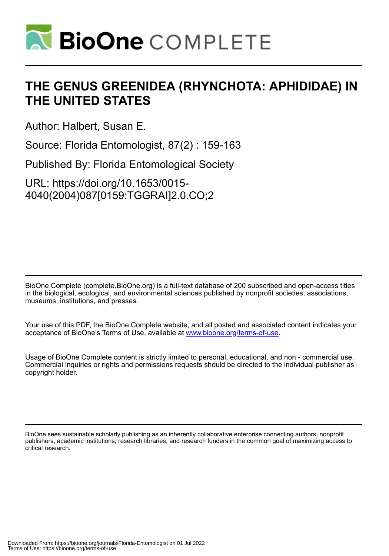

# **THE GENUS GREENIDEA (RHYNCHOTA: APHIDIDAE) IN THE UNITED STATES**

Author: Halbert, Susan E.

Source: Florida Entomologist, 87(2) : 159-163

Published By: Florida Entomological Society

URL: https://doi.org/10.1653/0015- 4040(2004)087[0159:TGGRAI]2.0.CO;2

BioOne Complete (complete.BioOne.org) is a full-text database of 200 subscribed and open-access titles in the biological, ecological, and environmental sciences published by nonprofit societies, associations, museums, institutions, and presses.

Your use of this PDF, the BioOne Complete website, and all posted and associated content indicates your acceptance of BioOne's Terms of Use, available at www.bioone.org/terms-of-use.

Usage of BioOne Complete content is strictly limited to personal, educational, and non - commercial use. Commercial inquiries or rights and permissions requests should be directed to the individual publisher as copyright holder.

BioOne sees sustainable scholarly publishing as an inherently collaborative enterprise connecting authors, nonprofit publishers, academic institutions, research libraries, and research funders in the common goal of maximizing access to critical research.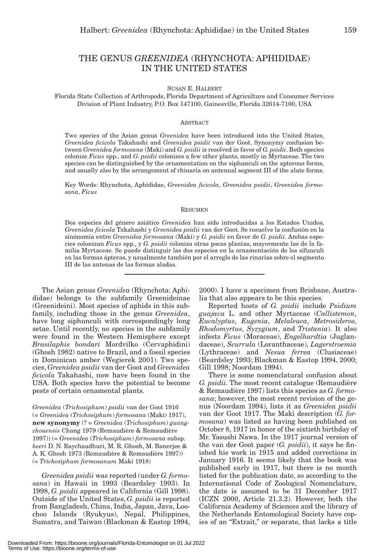## THE GENUS *GREENIDEA* (RHYNCHOTA: APHIDIDAE) IN THE UNITED STATES

SUSAN E. HALBERT

Florida State Collection of Arthropods, Florida Department of Agriculture and Consumer Services Division of Plant Industry, P.O. Box 147100, Gainesville, Florida 32614-7100, USA

#### **ABSTRACT**

Two species of the Asian genus *Greenidea* have been introduced into the United States, *Greenidea ficicola* Takahashi and *Greenidea psidii* van der Goot. Synonymy confusion between *Greenidea formosana* (Maki) and *G. psidii* is resolved in favor of *G. psidii*. Both species colonize *Ficus* spp., and *G. psidii* colonizes a few other plants, mostly in Myrtaceae. The two species can be distinguished by the ornamentation on the siphunculi on the apterous forms, and usually also by the arrangement of rhinaria on antennal segment III of the alate forms.

Key Words: Rhynchota, Aphididae, *Greenidea ficicola*, *Greenidea psidii*, *Greenidea formosana*, *Ficus*

#### RESUMEN

Dos especies del género asiático *Greenidea* han sido introducidas a los Estados Unidos, *Greenidea ficicola* Takahashi y *Greenidea psidii* van der Goot. Se resuelve la confusión en la sinónomia entre *Greenidea formosana* (Maki) y *G. psidii* en favor de *G. psidii*. Ambas especies colonizan *Ficus* spp., y *G. psidii* coloniza otras pocas plantas, mayormente las de la familia Myrtaceae. Se puede distinguir las dos especies en la ornamentación de los sifunculi en las formas ápteras, y usualmente también por el arreglo de las rinarias sobre el segmento III de las antenas de las formas aladas.

The Asian genus *Greenidea* (Rhynchota: Aphididae) belongs to the subfamily Greenideinae (Greenideini). Most species of aphids in this subfamily, including those in the genus *Greenidea*, have long siphunculi with correspondingly long setae. Until recently, no species in the subfamily were found in the Western Hemisphere except *Brasilaphis bondari* Mordvilko (Cervaphidini) (Ghosh 1982) native to Brazil, and a fossil species in Dominican amber (Wegierek 2001). Two species, *Greenidea psidii* van der Goot and *Greenidea ficicola* Takahashi, now have been found in the USA. Both species have the potential to become pests of certain ornamental plants.

*Greenidea* (*Trichosiphum*) *psidii* van der Goot 1916 (= *Greenidea* (*Trichosiphum*) *formosana* (Maki) 1917), **new synonymy** (? = *Greenidea* (*Trichosiphum*) *guangzhouensis* Chang 1979 (Remaudière & Remaudière 1997)) (= *Greenidea* (*Trichosiphum*) *formosana* subsp. *heeri* D. N. Raychaudhuri, M. R. Ghosh, M. Banerjee & A. K. Ghosh 1973 (Remaudière & Remaudière 1997)) (= *Trichosiphum formosanum* Maki 1918)

*Greenidea psidii* was reported (under *G. formosana*) in Hawaii in 1993 (Beardsley 1993). In 1998, *G. psidii* appeared in California (Gill 1998). Outside of the United States, *G. psidii* is reported from Bangladesh, China, India, Japan, Java, Loochoo Islands (Ryukyus), Nepal, Philippines, Sumatra, and Taiwan (Blackman & Eastop 1994, 2000). I have a specimen from Brisbane, Australia that also appears to be this species.

Reported hosts of *G. psidii* include *Psidium guajava* L. and other Myrtaceae (*Callistemon*, *Eucalyptus*, *Eugenia*, *Melaleuca*, *Metrosideros*, *Rhodomyrtus*, *Syzygium*, and *Tristania*). It also infests *Ficus* (Moraceae), *Engelhardtia* (Juglandaceae), *Scurrula* (Loranthaceae), *Lagerstroemia* (Lythraceae) and *Nesua ferrea* (Clusiaceae) (Beardsley 1993; Blackman & Eastop 1994, 2000; Gill 1998; Noordam 1994).

There is some nomenclatural confusion about *G. psidii*. The most recent catalogue (Remaudière & Remaudière 1997) lists this species as *G. formosana*; however, the most recent revision of the genus (Noordam 1994), lists it as *Greenidea psidii* van der Goot 1917. The Maki description (*G. formosana*) was listed as having been published on October 8, 1917 in honor of the sixtieth birthday of Mr. Yasushi Nawa. In the 1917 journal version of the van der Goot paper (*G. psidii*), it says he finished his work in 1915 and added corrections in January 1916. It seems likely that the book was published early in 1917, but there is no month listed for the publication date, so according to the International Code of Zoological Nomenclature, the date is assumed to be 31 December 1917 (ICZN 2000, Article 21.3.2). However, both the California Academy of Sciences and the library of the Netherlands Entomological Society have copies of an "Extrait," or separate, that lacks a title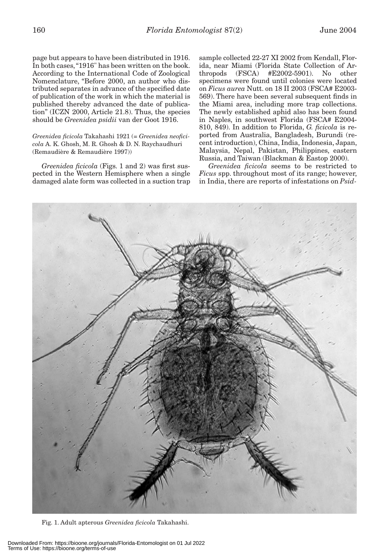page but appears to have been distributed in 1916. In both cases, "1916" has been written on the book. According to the International Code of Zoological Nomenclature, "Before 2000, an author who distributed separates in advance of the specified date of publication of the work in which the material is published thereby advanced the date of publication" (ICZN 2000, Article 21.8). Thus, the species should be *Greenidea psidii* van der Goot 1916.

*Greenidea ficicola* Takahashi 1921 (= *Greenidea neoficicola* A. K. Ghosh, M. R. Ghosh & D. N. Raychaudhuri (Remaudière & Remaudière 1997))

*Greenidea ficicola* (Figs. 1 and 2) was first suspected in the Western Hemisphere when a single damaged alate form was collected in a suction trap sample collected 22-27 XI 2002 from Kendall, Florida, near Miami (Florida State Collection of Arthropods (FSCA) #E2002-5901). No other specimens were found until colonies were located on *Ficus aurea* Nutt. on 18 II 2003 (FSCA# E2003- 569). There have been several subsequent finds in the Miami area, including more trap collections. The newly established aphid also has been found in Naples, in southwest Florida (FSCA# E2004- 810, 849). In addition to Florida, *G. ficicola* is reported from Australia, Bangladesh, Burundi (recent introduction), China, India, Indonesia, Japan, Malaysia, Nepal, Pakistan, Philippines, eastern Russia, and Taiwan (Blackman & Eastop 2000).

*Greenidea ficicola* seems to be restricted to *Ficus* spp. throughout most of its range; however, in India, there are reports of infestations on *Psid-*



Fig. 1. Adult apterous *Greenidea ficicola* Takahashi.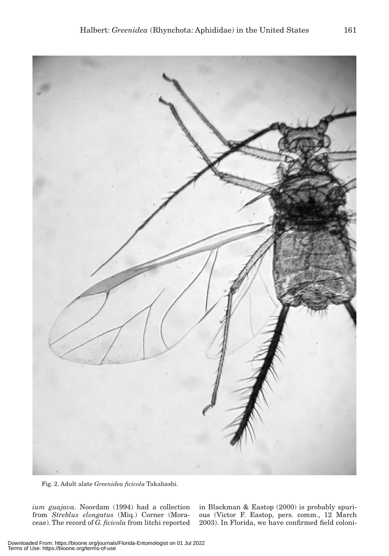

Fig. 2. Adult alate *Greenidea ficicola* Takahashi.

*ium guajava*. Noordam (1994) had a collection from *Streblus elongatus* (Miq.) Corner (Moraceae). The record of *G. ficicola* from litchi reported in Blackman & Eastop (2000) is probably spurious (Victor F. Eastop, pers. comm., 12 March 2003). In Florida, we have confirmed field coloni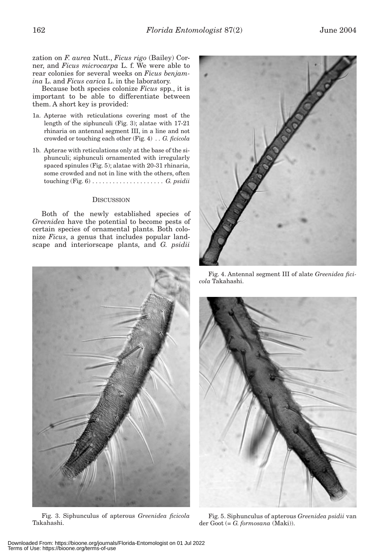zation on *F. aurea* Nutt., *Ficus rigo* (Bailey) Corner, and *Ficus microcarpa* L. f. We were able to rear colonies for several weeks on *Ficus benjamina* L. and *Ficus carica* L. in the laboratory.

Because both species colonize *Ficus* spp., it is important to be able to differentiate between them. A short key is provided:

- 1a. Apterae with reticulations covering most of the length of the siphunculi (Fig. 3); alatae with 17-21 rhinaria on antennal segment III, in a line and not crowded or touching each other (Fig. 4) *. . G. ficicola*
- 1b. Apterae with reticulations only at the base of the siphunculi; siphunculi ornamented with irregularly spaced spinules (Fig. 5); alatae with 20-31 rhinaria, some crowded and not in line with the others, often touching (Fig. 6) *. . . . . . . . . . . . . . . . . . . . . G. psidii*

#### **DISCUSSION**

Both of the newly established species of *Greenidea* have the potential to become pests of certain species of ornamental plants. Both colonize *Ficus*, a genus that includes popular landscape and interiorscape plants, and *G. psidii*





Fig. 3. Siphunculus of apterous *Greenidea ficicola* Takahashi.

Fig. 4. Antennal segment III of alate *Greenidea ficicola* Takahashi.



Fig. 5. Siphunculus of apterous *Greenidea psidii* van der Goot (= *G. formosana* (Maki)).